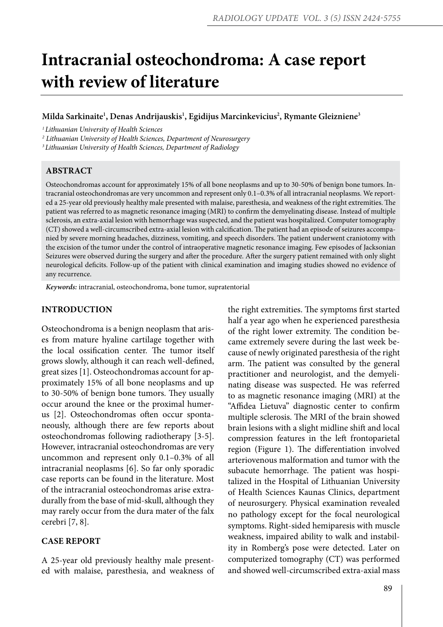# **Intracranial osteochondroma: A case report with review of literature**

## **Milda Sarkinaite1 , Denas Andrijauskis1 , Egidijus Marcinkevicius2 , Rymante Gleizniene3**

*1 Lithuanian University of Health Sciences* 

*2 Lithuanian University of Health Sciences, Department of Neurosurgery*

*3 Lithuanian University of Health Sciences, Department of Radiology*

## **ABSTRACT**

Osteochondromas account for approximately 15% of all bone neoplasms and up to 30-50% of benign bone tumors. Intracranial osteochondromas are very uncommon and represent only 0.1–0.3% of all intracranial neoplasms. We reported a 25-year old previously healthy male presented with malaise, paresthesia, and weakness of the right extremities. The patient was referred to as magnetic resonance imaging (MRI) to confirm the demyelinating disease. Instead of multiple sclerosis, an extra-axial lesion with hemorrhage was suspected, and the patient was hospitalized. Computer tomography (CT) showed a well-circumscribed extra-axial lesion with calcification. The patient had an episode of seizures accompanied by severe morning headaches, dizziness, vomiting, and speech disorders. The patient underwent craniotomy with the excision of the tumor under the control of intraoperative magnetic resonance imaging. Few episodes of Jacksonian Seizures were observed during the surgery and after the procedure. After the surgery patient remained with only slight neurological deficits. Follow-up of the patient with clinical examination and imaging studies showed no evidence of any recurrence.

*Keywords:* intracranial, osteochondroma, bone tumor, supratentorial

#### **INTRODUCTION**

Osteochondroma is a benign neoplasm that arises from mature hyaline cartilage together with the local ossification center. The tumor itself grows slowly, although it can reach well-defined, great sizes [1]. Osteochondromas account for approximately 15% of all bone neoplasms and up to 30-50% of benign bone tumors. They usually occur around the knee or the proximal humerus [2]. Osteochondromas often occur spontaneously, although there are few reports about osteochondromas following radiotherapy [3-5]. However, intracranial osteochondromas are very uncommon and represent only 0.1–0.3% of all intracranial neoplasms [6]. So far only sporadic case reports can be found in the literature. Most of the intracranial osteochondromas arise extradurally from the base of mid-skull, although they may rarely occur from the dura mater of the falx cerebri [7, 8].

## **CASE REPORT**

A 25-year old previously healthy male presented with malaise, paresthesia, and weakness of the right extremities. The symptoms first started half a year ago when he experienced paresthesia of the right lower extremity. The condition became extremely severe during the last week because of newly originated paresthesia of the right arm. The patient was consulted by the general practitioner and neurologist, and the demyelinating disease was suspected. He was referred to as magnetic resonance imaging (MRI) at the "Affidea Lietuva" diagnostic center to confirm multiple sclerosis. The MRI of the brain showed brain lesions with a slight midline shift and local compression features in the left frontoparietal region (Figure 1). The differentiation involved arteriovenous malformation and tumor with the subacute hemorrhage. The patient was hospitalized in the Hospital of Lithuanian University of Health Sciences Kaunas Clinics, department of neurosurgery. Physical examination revealed no pathology except for the focal neurological symptoms. Right-sided hemiparesis with muscle weakness, impaired ability to walk and instability in Romberg's pose were detected. Later on computerized tomography (CT) was performed and showed well-circumscribed extra-axial mass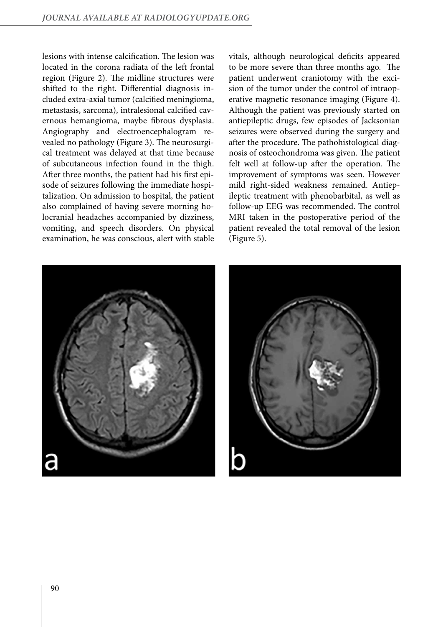lesions with intense calcification. The lesion was located in the corona radiata of the left frontal region (Figure 2). The midline structures were shifted to the right. Differential diagnosis included extra-axial tumor (calcified meningioma, metastasis, sarcoma), intralesional calcified cavernous hemangioma, maybe fibrous dysplasia. Angiography and electroencephalogram revealed no pathology (Figure 3). The neurosurgical treatment was delayed at that time because of subcutaneous infection found in the thigh. After three months, the patient had his first episode of seizures following the immediate hospitalization. On admission to hospital, the patient also complained of having severe morning holocranial headaches accompanied by dizziness, vomiting, and speech disorders. On physical examination, he was conscious, alert with stable vitals, although neurological deficits appeared to be more severe than three months ago. The patient underwent craniotomy with the excision of the tumor under the control of intraoperative magnetic resonance imaging (Figure 4). Although the patient was previously started on antiepileptic drugs, few episodes of Jacksonian seizures were observed during the surgery and after the procedure. The pathohistological diagnosis of osteochondroma was given. The patient felt well at follow-up after the operation. The improvement of symptoms was seen. However mild right-sided weakness remained. Antiepileptic treatment with phenobarbital, as well as follow-up EEG was recommended. The control MRI taken in the postoperative period of the patient revealed the total removal of the lesion (Figure 5).



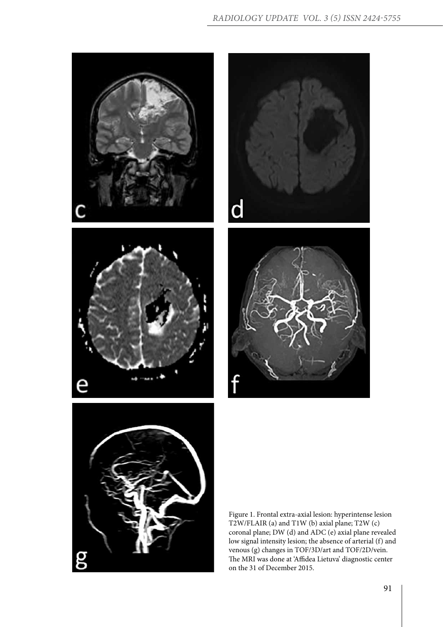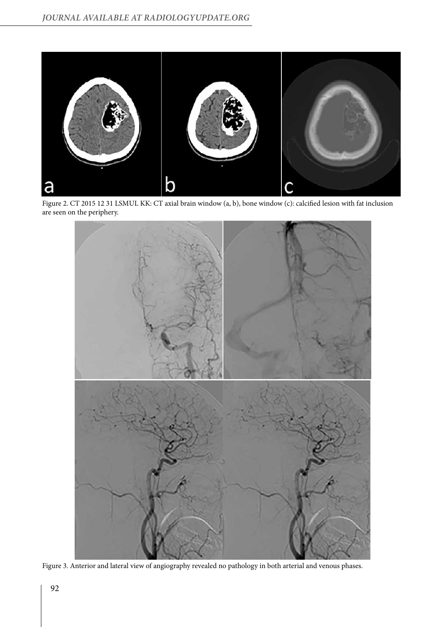

Figure 2. CT 2015 12 31 LSMUL KK: CT axial brain window (a, b), bone window (c): calcified lesion with fat inclusion are seen on the periphery.



Figure 3. Anterior and lateral view of angiography revealed no pathology in both arterial and venous phases.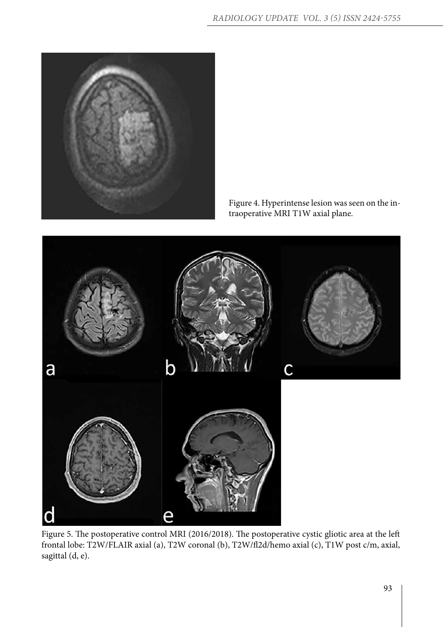

Figure 4. Hyperintense lesion was seen on the intraoperative MRI T1W axial plane.



Figure 5. The postoperative control MRI (2016/2018). The postoperative cystic gliotic area at the left frontal lobe: T2W/FLAIR axial (a), T2W coronal (b), T2W/fl2d/hemo axial (c), T1W post c/m, axial, sagittal (d, e).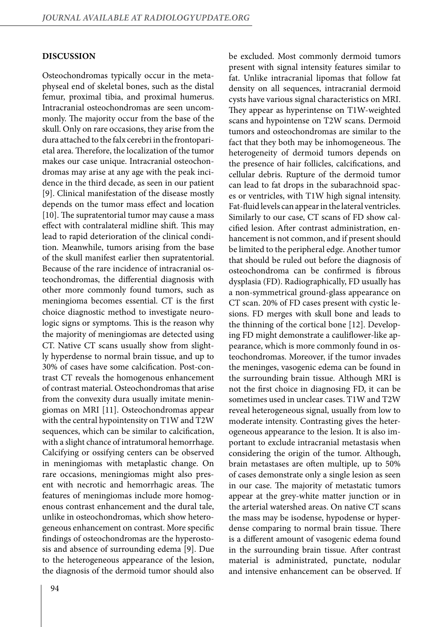#### **DISCUSSION**

Osteochondromas typically occur in the metaphyseal end of skeletal bones, such as the distal femur, proximal tibia, and proximal humerus. Intracranial osteochondromas are seen uncommonly. The majority occur from the base of the skull. Only on rare occasions, they arise from the dura attached to the falx cerebri in the frontoparietal area. Therefore, the localization of the tumor makes our case unique. Intracranial osteochondromas may arise at any age with the peak incidence in the third decade, as seen in our patient [9]. Clinical manifestation of the disease mostly depends on the tumor mass effect and location [10]. The supratentorial tumor may cause a mass effect with contralateral midline shift. This may lead to rapid deterioration of the clinical condition. Meanwhile, tumors arising from the base of the skull manifest earlier then supratentorial. Because of the rare incidence of intracranial osteochondromas, the differential diagnosis with other more commonly found tumors, such as meningioma becomes essential. CT is the first choice diagnostic method to investigate neurologic signs or symptoms. This is the reason why the majority of meningiomas are detected using CT. Native CT scans usually show from slightly hyperdense to normal brain tissue, and up to 30% of cases have some calcification. Post-contrast CT reveals the homogenous enhancement of contrast material. Osteochondromas that arise from the convexity dura usually imitate meningiomas on MRI [11]. Osteochondromas appear with the central hypointensity on T1W and T2W sequences, which can be similar to calcification, with a slight chance of intratumoral hemorrhage. Calcifying or ossifying centers can be observed in meningiomas with metaplastic change. On rare occasions, meningiomas might also present with necrotic and hemorrhagic areas. The features of meningiomas include more homogenous contrast enhancement and the dural tale, unlike in osteochondromas, which show heterogeneous enhancement on contrast. More specific findings of osteochondromas are the hyperostosis and absence of surrounding edema [9]. Due to the heterogeneous appearance of the lesion, the diagnosis of the dermoid tumor should also

94

be excluded. Most commonly dermoid tumors present with signal intensity features similar to fat. Unlike intracranial lipomas that follow fat density on all sequences, intracranial dermoid cysts have various signal characteristics on MRI. They appear as hyperintense on T1W-weighted scans and hypointense on T2W scans. Dermoid tumors and osteochondromas are similar to the fact that they both may be inhomogeneous. The heterogeneity of dermoid tumors depends on the presence of hair follicles, calcifications, and cellular debris. Rupture of the dermoid tumor can lead to fat drops in the subarachnoid spaces or ventricles, with T1W high signal intensity. Fat-fluid levels can appear in the lateral ventricles. Similarly to our case, CT scans of FD show calcified lesion. After contrast administration, enhancement is not common, and if present should be limited to the peripheral edge. Another tumor that should be ruled out before the diagnosis of osteochondroma can be confirmed is fibrous dysplasia (FD). Radiographically, FD usually has a non-symmetrical ground-glass appearance on CT scan. 20% of FD cases present with cystic lesions. FD merges with skull bone and leads to the thinning of the cortical bone [12]. Developing FD might demonstrate a cauliflower-like appearance, which is more commonly found in osteochondromas. Moreover, if the tumor invades the meninges, vasogenic edema can be found in the surrounding brain tissue. Although MRI is not the first choice in diagnosing FD, it can be sometimes used in unclear cases. T1W and T2W reveal heterogeneous signal, usually from low to moderate intensity. Contrasting gives the heterogeneous appearance to the lesion. It is also important to exclude intracranial metastasis when considering the origin of the tumor. Although, brain metastases are often multiple, up to 50% of cases demonstrate only a single lesion as seen in our case. The majority of metastatic tumors appear at the grey-white matter junction or in the arterial watershed areas. On native CT scans the mass may be isodense, hypodense or hyperdense comparing to normal brain tissue. There is a different amount of vasogenic edema found in the surrounding brain tissue. After contrast material is administrated, punctate, nodular and intensive enhancement can be observed. If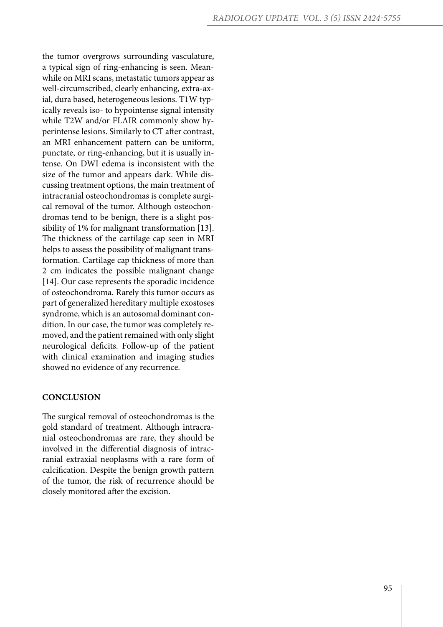the tumor overgrows surrounding vasculature, a typical sign of ring-enhancing is seen. Mean while on MRI scans, metastatic tumors appear as well-circumscribed, clearly enhancing, extra-ax ial, dura based, heterogeneous lesions. T1W typ ically reveals iso- to hypointense signal intensity while T2W and/or FLAIR commonly show hy perintense lesions. Similarly to CT after contrast, an MRI enhancement pattern can be uniform, punctate, or ring-enhancing, but it is usually in tense. On DWI edema is inconsistent with the size of the tumor and appears dark. While dis cussing treatment options, the main treatment of intracranial osteochondromas is complete surgi cal removal of the tumor. Although osteochon dromas tend to be benign, there is a slight pos sibility of 1% for malignant transformation [13]. The thickness of the cartilage cap seen in MRI helps to assess the possibility of malignant trans formation. Cartilage cap thickness of more than 2 cm indicates the possible malignant change [14]. Our case represents the sporadic incidence of osteochondroma. Rarely this tumor occurs as part of generalized hereditary multiple exostoses syndrome, which is an autosomal dominant con dition. In our case, the tumor was completely re moved, and the patient remained with only slight neurological deficits. Follow-up of the patient with clinical examination and imaging studies showed no evidence of any recurrence.

### **CONCLUSION**

The surgical removal of osteochondromas is the gold standard of treatment. Although intracra nial osteochondromas are rare, they should be involved in the differential diagnosis of intrac ranial extraxial neoplasms with a rare form of calcification. Despite the benign growth pattern of the tumor, the risk of recurrence should be closely monitored after the excision.